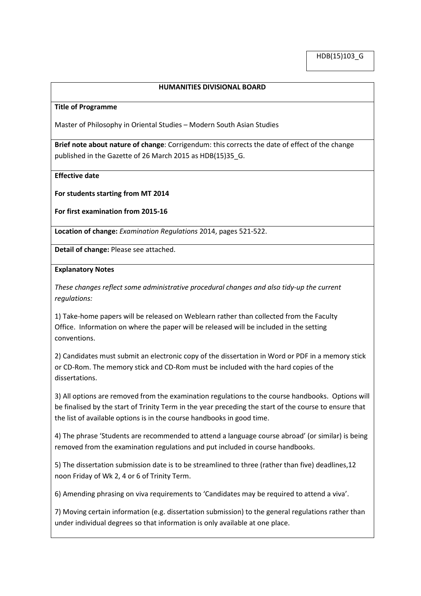## **HUMANITIES DIVISIONAL BOARD**

#### **Title of Programme**

Master of Philosophy in Oriental Studies – Modern South Asian Studies

**Brief note about nature of change**: Corrigendum: this corrects the date of effect of the change published in the Gazette of 26 March 2015 as HDB(15)35\_G.

**Effective date**

**For students starting from MT 2014**

**For first examination from 2015-16**

**Location of change:** *Examination Regulations* 2014, pages 521-522.

**Detail of change:** Please see attached.

### **Explanatory Notes**

*These changes reflect some administrative procedural changes and also tidy-up the current regulations:*

1) Take-home papers will be released on Weblearn rather than collected from the Faculty Office. Information on where the paper will be released will be included in the setting conventions.

2) Candidates must submit an electronic copy of the dissertation in Word or PDF in a memory stick or CD-Rom. The memory stick and CD-Rom must be included with the hard copies of the dissertations.

3) All options are removed from the examination regulations to the course handbooks. Options will be finalised by the start of Trinity Term in the year preceding the start of the course to ensure that the list of available options is in the course handbooks in good time.

4) The phrase 'Students are recommended to attend a language course abroad' (or similar) is being removed from the examination regulations and put included in course handbooks.

5) The dissertation submission date is to be streamlined to three (rather than five) deadlines,12 noon Friday of Wk 2, 4 or 6 of Trinity Term.

6) Amending phrasing on viva requirements to 'Candidates may be required to attend a viva'.

7) Moving certain information (e.g. dissertation submission) to the general regulations rather than under individual degrees so that information is only available at one place.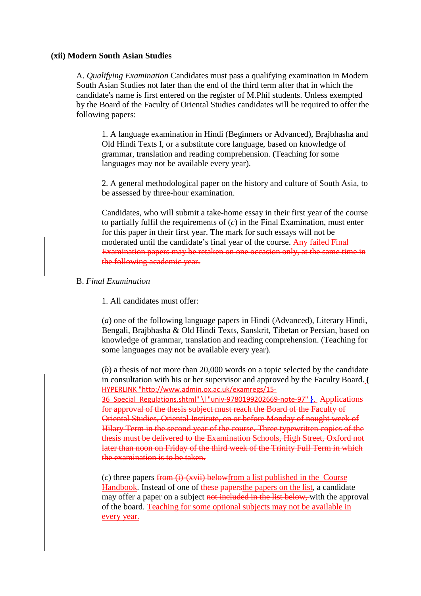# **(xii) Modern South Asian Studies**

A. *Qualifying Examination* Candidates must pass a qualifying examination in Modern South Asian Studies not later than the end of the third term after that in which the candidate's name is first entered on the register of M.Phil students. Unless exempted by the Board of the Faculty of Oriental Studies candidates will be required to offer the following papers:

1. A language examination in Hindi (Beginners or Advanced), Brajbhasha and Old Hindi Texts I, or a substitute core language, based on knowledge of grammar, translation and reading comprehension. (Teaching for some languages may not be available every year).

2. A general methodological paper on the history and culture of South Asia, to be assessed by three-hour examination.

Candidates, who will submit a take-home essay in their first year of the course to partially fulfil the requirements of (*c*) in the Final Examination, must enter for this paper in their first year. The mark for such essays will not be moderated until the candidate's final year of the course. Any failed Final Examination papers may be retaken on one occasion only, at the same time in the following academic year.

# B. *Final Examination*

1. All candidates must offer:

(*a*) one of the following language papers in Hindi (Advanced), Literary Hindi, Bengali, Brajbhasha & Old Hindi Texts, Sanskrit, Tibetan or Persian, based on knowledge of grammar, translation and reading comprehension. (Teaching for some languages may not be available every year).

(*b*) a thesis of not more than 20,000 words on a topic selected by the candidate in consultation with his or her supervisor and approved by the Faculty Board. **[{](http://www.admin.ox.ac.uk/examregs/15-36_Special_Regulations.shtml%23univ-9780199202669-note-97)** [HYPERLINK "http://www.admin.ox.ac.uk/examregs/15-](http://www.admin.ox.ac.uk/examregs/15-36_Special_Regulations.shtml%23univ-9780199202669-note-97) [36\\_Special\\_Regulations.shtml" \l "univ-9780199202669-note-97"](http://www.admin.ox.ac.uk/examregs/15-36_Special_Regulations.shtml%23univ-9780199202669-note-97) **}**. Applications for approval of the thesis subject must reach the Board of the Faculty of Oriental Studies, Oriental Institute, on or before Monday of nought week of Hilary Term in the second year of the course. Three typewritten copies of the thesis must be delivered to the Examination Schools, High Street, Oxford not later than noon on Friday of the third week of the Trinity Full Term in which the examination is to be taken.

 $(c)$  three papers from  $(i)$ - $(xvii)$  belowfrom a list published in the Course Handbook. Instead of one of these papersthe papers on the list, a candidate may offer a paper on a subject not included in the list below, with the approval of the board. Teaching for some optional subjects may not be available in every year.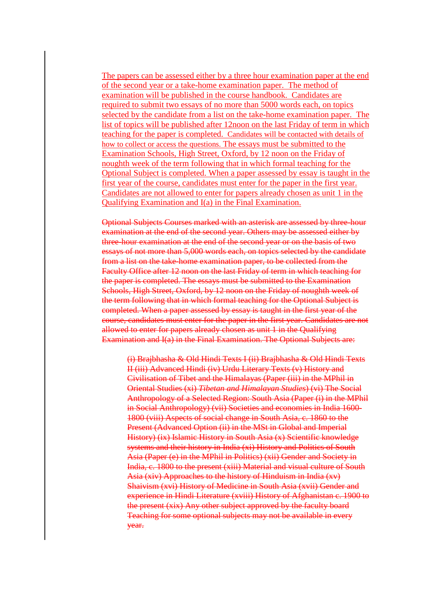The papers can be assessed either by a three hour examination paper at the end of the second year or a take-home examination paper. The method of examination will be published in the course handbook. Candidates are required to submit two essays of no more than 5000 words each, on topics selected by the candidate from a list on the take-home examination paper. The list of topics will be published after 12noon on the last Friday of term in which teaching for the paper is completed. Candidates will be contacted with details of how to collect or access the questions. The essays must be submitted to the Examination Schools, High Street, Oxford, by 12 noon on the Friday of noughth week of the term following that in which formal teaching for the Optional Subject is completed. When a paper assessed by essay is taught in the first year of the course, candidates must enter for the paper in the first year. Candidates are not allowed to enter for papers already chosen as unit 1 in the Qualifying Examination and I(a) in the Final Examination.

Optional Subjects Courses marked with an asterisk are assessed by three-hour examination at the end of the second year. Others may be assessed either by three-hour examination at the end of the second year or on the basis of two essays of not more than 5,000 words each, on topics selected by the candidate from a list on the take-home examination paper, to be collected from the Faculty Office after 12 noon on the last Friday of term in which teaching for the paper is completed. The essays must be submitted to the Examination Schools, High Street, Oxford, by 12 noon on the Friday of noughth week of the term following that in which formal teaching for the Optional Subject is completed. When a paper assessed by essay is taught in the first year of the course, candidates must enter for the paper in the first year. Candidates are not allowed to enter for papers already chosen as unit 1 in the Qualifying Examination and I(a) in the Final Examination. The Optional Subjects are:

(i) Brajbhasha & Old Hindi Texts I (ii) Brajbhasha & Old Hindi Texts II (iii) Advanced Hindi (iv) Urdu Literary Texts (v) History and Civilisation of Tibet and the Himalayas (Paper (iii) in the MPhil in Oriental Studies (xi) *Tibetan and Himalayan Studies*) (vi) The Social Anthropology of a Selected Region: South Asia (Paper (i) in the MPhil in Social Anthropology) (vii) Societies and economies in India 1600- 1800 (viii) Aspects of social change in South Asia, c. 1860 to the Present (Advanced Option (ii) in the MSt in Global and Imperial History) (ix) Islamic History in South Asia (x) Scientific knowledge systems and their history in India (xi) History and Politics of South Asia (Paper (e) in the MPhil in Politics) (xii) Gender and Society in India, c. 1800 to the present (xiii) Material and visual culture of South Asia (xiv) Approaches to the history of Hinduism in India (xv) Shaivism (xvi) History of Medicine in South Asia (xvii) Gender and experience in Hindi Literature (xviii) History of Afghanistan c. 1900 to the present (xix) Any other subject approved by the faculty board Teaching for some optional subjects may not be available in every year.